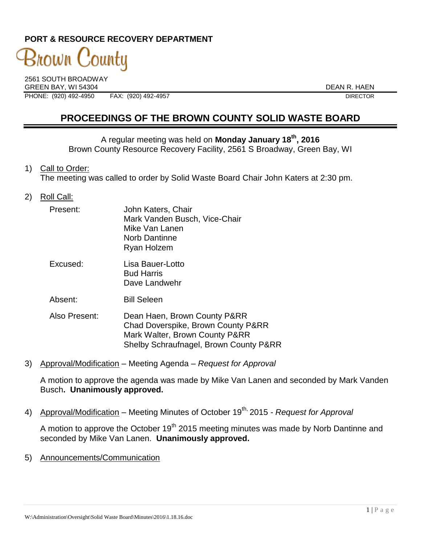## **PORT & RESOURCE RECOVERY DEPARTMENT**

# 3nown County

2561 SOUTH BROADWAY GREEN BAY. WI 54304 DEAN R. HAEN PHONE: (920) 492-4950 FAX: (920) 492-4957 DIRECTOR

## **PROCEEDINGS OF THE BROWN COUNTY SOLID WASTE BOARD**

A regular meeting was held on **Monday January 18th, 2016** Brown County Resource Recovery Facility, 2561 S Broadway, Green Bay, WI

1) Call to Order:

The meeting was called to order by Solid Waste Board Chair John Katers at 2:30 pm.

2) Roll Call:

| Present:      | John Katers, Chair<br>Mark Vanden Busch, Vice-Chair<br>Mike Van Lanen<br><b>Norb Dantinne</b><br>Ryan Holzem |
|---------------|--------------------------------------------------------------------------------------------------------------|
| Excused:      | Lisa Bauer-Lotto<br><b>Bud Harris</b><br>Dave Landwehr                                                       |
| Absent:       | <b>Bill Seleen</b>                                                                                           |
| Also Present: | Dean Haen, Brown County P&RR<br>Chad Doverspike, Brown County P&RR                                           |

3) Approval/Modification – Meeting Agenda – *Request for Approval*

A motion to approve the agenda was made by Mike Van Lanen and seconded by Mark Vanden Busch**. Unanimously approved.**

4) Approval/Modification – Meeting Minutes of October 19<sup>th,</sup> 2015 *- Request for Approval* 

Mark Walter, Brown County P&RR

Shelby Schraufnagel, Brown County P&RR

A motion to approve the October  $19<sup>th</sup>$  2015 meeting minutes was made by Norb Dantinne and seconded by Mike Van Lanen. **Unanimously approved.**

5) Announcements/Communication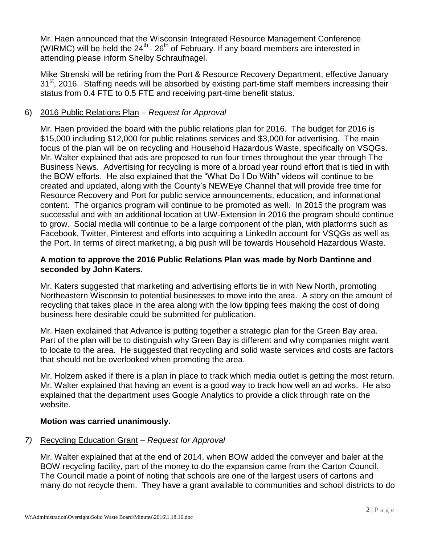Mr. Haen announced that the Wisconsin Integrated Resource Management Conference (WIRMC) will be held the  $24^{th}$  -  $26^{th}$  of February. If any board members are interested in attending please inform Shelby Schraufnagel.

Mike Strenski will be retiring from the Port & Resource Recovery Department, effective January 31<sup>st</sup>, 2016. Staffing needs will be absorbed by existing part-time staff members increasing their status from 0.4 FTE to 0.5 FTE and receiving part-time benefit status.

## 6) 2016 Public Relations Plan – *Request for Approval*

Mr. Haen provided the board with the public relations plan for 2016. The budget for 2016 is \$15,000 including \$12,000 for public relations services and \$3,000 for advertising. The main focus of the plan will be on recycling and Household Hazardous Waste, specifically on VSQGs. Mr. Walter explained that ads are proposed to run four times throughout the year through The Business News. Advertising for recycling is more of a broad year round effort that is tied in with the BOW efforts. He also explained that the "What Do I Do With" videos will continue to be created and updated, along with the County's NEWEye Channel that will provide free time for Resource Recovery and Port for public service announcements, education, and informational content. The organics program will continue to be promoted as well. In 2015 the program was successful and with an additional location at UW-Extension in 2016 the program should continue to grow. Social media will continue to be a large component of the plan, with platforms such as Facebook, Twitter, Pinterest and efforts into acquiring a LinkedIn account for VSQGs as well as the Port. In terms of direct marketing, a big push will be towards Household Hazardous Waste.

#### **A motion to approve the 2016 Public Relations Plan was made by Norb Dantinne and seconded by John Katers.**

Mr. Katers suggested that marketing and advertising efforts tie in with New North, promoting Northeastern Wisconsin to potential businesses to move into the area. A story on the amount of recycling that takes place in the area along with the low tipping fees making the cost of doing business here desirable could be submitted for publication.

Mr. Haen explained that Advance is putting together a strategic plan for the Green Bay area. Part of the plan will be to distinguish why Green Bay is different and why companies might want to locate to the area. He suggested that recycling and solid waste services and costs are factors that should not be overlooked when promoting the area.

Mr. Holzem asked if there is a plan in place to track which media outlet is getting the most return. Mr. Walter explained that having an event is a good way to track how well an ad works. He also explained that the department uses Google Analytics to provide a click through rate on the website.

## **Motion was carried unanimously.**

## *7)* Recycling Education Grant – *Request for Approval*

Mr. Walter explained that at the end of 2014, when BOW added the conveyer and baler at the BOW recycling facility, part of the money to do the expansion came from the Carton Council. The Council made a point of noting that schools are one of the largest users of cartons and many do not recycle them. They have a grant available to communities and school districts to do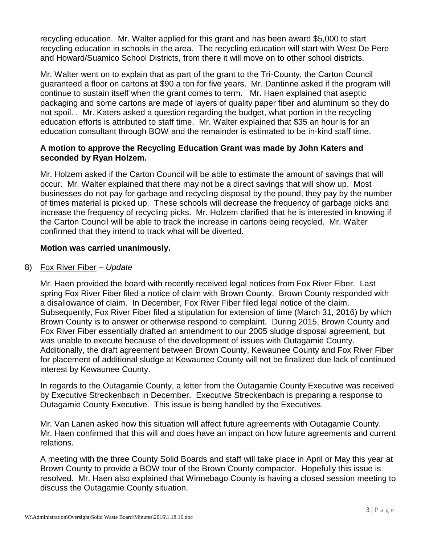recycling education. Mr. Walter applied for this grant and has been award \$5,000 to start recycling education in schools in the area. The recycling education will start with West De Pere and Howard/Suamico School Districts, from there it will move on to other school districts.

Mr. Walter went on to explain that as part of the grant to the Tri-County, the Carton Council guaranteed a floor on cartons at \$90 a ton for five years. Mr. Dantinne asked if the program will continue to sustain itself when the grant comes to term. Mr. Haen explained that aseptic packaging and some cartons are made of layers of quality paper fiber and aluminum so they do not spoil. . Mr. Katers asked a question regarding the budget, what portion in the recycling education efforts is attributed to staff time. Mr. Walter explained that \$35 an hour is for an education consultant through BOW and the remainder is estimated to be in-kind staff time.

#### **A motion to approve the Recycling Education Grant was made by John Katers and seconded by Ryan Holzem.**

Mr. Holzem asked if the Carton Council will be able to estimate the amount of savings that will occur. Mr. Walter explained that there may not be a direct savings that will show up. Most businesses do not pay for garbage and recycling disposal by the pound, they pay by the number of times material is picked up. These schools will decrease the frequency of garbage picks and increase the frequency of recycling picks. Mr. Holzem clarified that he is interested in knowing if the Carton Council will be able to track the increase in cartons being recycled. Mr. Walter confirmed that they intend to track what will be diverted.

## **Motion was carried unanimously.**

#### 8) Fox River Fiber – *Update*

Mr. Haen provided the board with recently received legal notices from Fox River Fiber. Last spring Fox River Fiber filed a notice of claim with Brown County. Brown County responded with a disallowance of claim. In December, Fox River Fiber filed legal notice of the claim. Subsequently, Fox River Fiber filed a stipulation for extension of time (March 31, 2016) by which Brown County is to answer or otherwise respond to complaint. During 2015, Brown County and Fox River Fiber essentially drafted an amendment to our 2005 sludge disposal agreement, but was unable to execute because of the development of issues with Outagamie County. Additionally, the draft agreement between Brown County, Kewaunee County and Fox River Fiber for placement of additional sludge at Kewaunee County will not be finalized due lack of continued interest by Kewaunee County.

In regards to the Outagamie County, a letter from the Outagamie County Executive was received by Executive Streckenbach in December. Executive Streckenbach is preparing a response to Outagamie County Executive. This issue is being handled by the Executives.

Mr. Van Lanen asked how this situation will affect future agreements with Outagamie County. Mr. Haen confirmed that this will and does have an impact on how future agreements and current relations.

A meeting with the three County Solid Boards and staff will take place in April or May this year at Brown County to provide a BOW tour of the Brown County compactor. Hopefully this issue is resolved. Mr. Haen also explained that Winnebago County is having a closed session meeting to discuss the Outagamie County situation.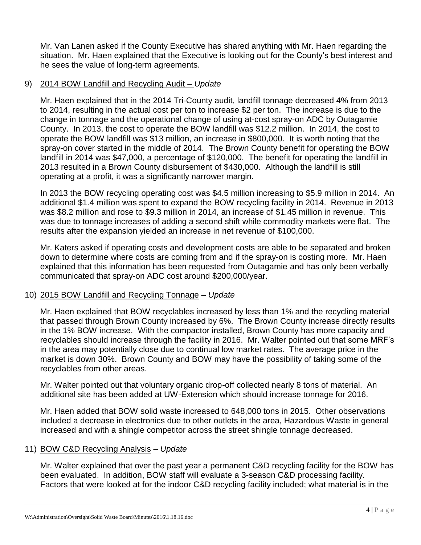Mr. Van Lanen asked if the County Executive has shared anything with Mr. Haen regarding the situation. Mr. Haen explained that the Executive is looking out for the County's best interest and he sees the value of long-term agreements.

#### 9) 2014 BOW Landfill and Recycling Audit – *Update*

Mr. Haen explained that in the 2014 Tri-County audit, landfill tonnage decreased 4% from 2013 to 2014, resulting in the actual cost per ton to increase \$2 per ton. The increase is due to the change in tonnage and the operational change of using at-cost spray-on ADC by Outagamie County. In 2013, the cost to operate the BOW landfill was \$12.2 million. In 2014, the cost to operate the BOW landfill was \$13 million, an increase in \$800,000. It is worth noting that the spray-on cover started in the middle of 2014. The Brown County benefit for operating the BOW landfill in 2014 was \$47,000, a percentage of \$120,000. The benefit for operating the landfill in 2013 resulted in a Brown County disbursement of \$430,000. Although the landfill is still operating at a profit, it was a significantly narrower margin.

In 2013 the BOW recycling operating cost was \$4.5 million increasing to \$5.9 million in 2014. An additional \$1.4 million was spent to expand the BOW recycling facility in 2014. Revenue in 2013 was \$8.2 million and rose to \$9.3 million in 2014, an increase of \$1.45 million in revenue. This was due to tonnage increases of adding a second shift while commodity markets were flat. The results after the expansion yielded an increase in net revenue of \$100,000.

Mr. Katers asked if operating costs and development costs are able to be separated and broken down to determine where costs are coming from and if the spray-on is costing more. Mr. Haen explained that this information has been requested from Outagamie and has only been verbally communicated that spray-on ADC cost around \$200,000/year.

## 10) 2015 BOW Landfill and Recycling Tonnage – *Update*

Mr. Haen explained that BOW recyclables increased by less than 1% and the recycling material that passed through Brown County increased by 6%. The Brown County increase directly results in the 1% BOW increase. With the compactor installed, Brown County has more capacity and recyclables should increase through the facility in 2016. Mr. Walter pointed out that some MRF's in the area may potentially close due to continual low market rates. The average price in the market is down 30%. Brown County and BOW may have the possibility of taking some of the recyclables from other areas.

Mr. Walter pointed out that voluntary organic drop-off collected nearly 8 tons of material. An additional site has been added at UW-Extension which should increase tonnage for 2016.

Mr. Haen added that BOW solid waste increased to 648,000 tons in 2015. Other observations included a decrease in electronics due to other outlets in the area, Hazardous Waste in general increased and with a shingle competitor across the street shingle tonnage decreased.

#### 11) BOW C&D Recycling Analysis – *Update*

Mr. Walter explained that over the past year a permanent C&D recycling facility for the BOW has been evaluated. In addition, BOW staff will evaluate a 3-season C&D processing facility. Factors that were looked at for the indoor C&D recycling facility included; what material is in the